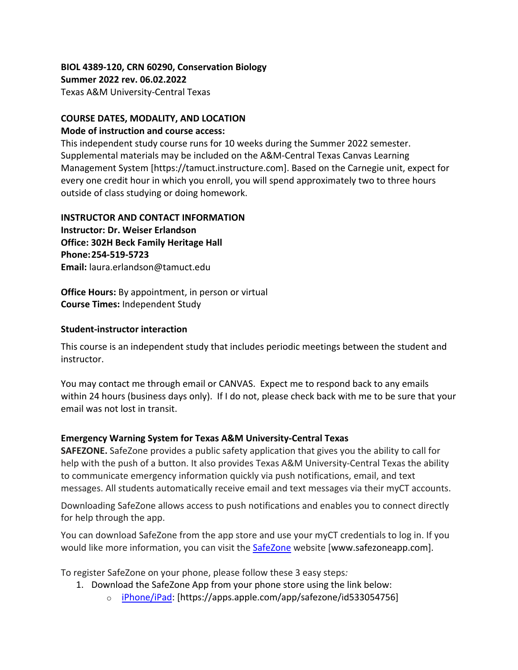### **BIOL 4389-120, CRN 60290, Conservation Biology Summer 2022 rev. 06.02.2022** Texas A&M University-Central Texas

#### **COURSE DATES, MODALITY, AND LOCATION**

#### **Mode of instruction and course access:**

This independent study course runs for 10 weeks during the Summer 2022 semester. Supplemental materials may be included on the A&M-Central Texas Canvas Learning Management System [https://tamuct.instructure.com]. Based on the Carnegie unit, expect for every one credit hour in which you enroll, you will spend approximately two to three hours outside of class studying or doing homework.

#### **INSTRUCTOR AND CONTACT INFORMATION**

**Instructor: Dr. Weiser Erlandson Office: 302H Beck Family Heritage Hall Phone:254-519-5723 Email:** laura.erlandson@tamuct.edu

**Office Hours:** By appointment, in person or virtual **Course Times:** Independent Study

#### **Student-instructor interaction**

This course is an independent study that includes periodic meetings between the student and instructor.

You may contact me through email or CANVAS. Expect me to respond back to any emails within 24 hours (business days only). If I do not, please check back with me to be sure that your email was not lost in transit.

### **Emergency Warning System for Texas A&M University-Central Texas**

**SAFEZONE.** SafeZone provides a public safety application that gives you the ability to call for help with the push of a button. It also provides Texas A&M University-Central Texas the ability to communicate emergency information quickly via push notifications, email, and text messages. All students automatically receive email and text messages via their myCT accounts.

Downloading SafeZone allows access to push notifications and enables you to connect directly for help through the app.

You can download SafeZone from the app store and use your myCT credentials to log in. If you would like more information, you can visit the **[SafeZone](http://www.safezoneapp.com/)** website [www.safezoneapp.com].

To register SafeZone on your phone, please follow these 3 easy steps*:*

- 1. Download the SafeZone App from your phone store using the link below:
	- o [iPhone/iPad:](https://apps.apple.com/app/safezone/id533054756) [https://apps.apple.com/app/safezone/id533054756]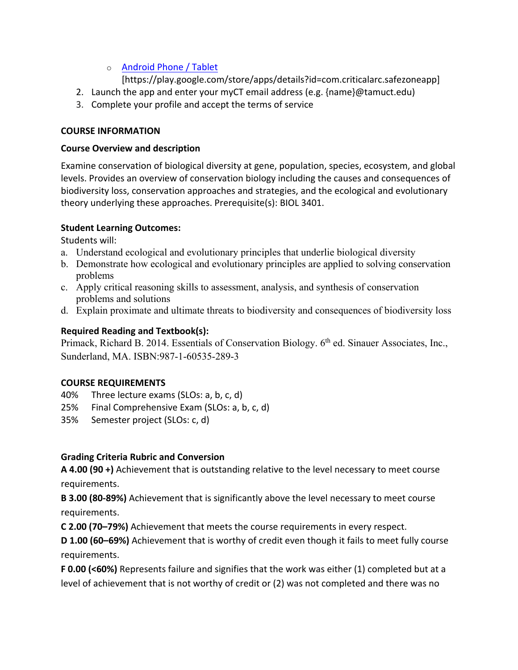## o [Android Phone / Tablet](https://play.google.com/store/apps/details?id=com.criticalarc.safezoneapp)

[https://play.google.com/store/apps/details?id=com.criticalarc.safezoneapp]

- 2. Launch the app and enter your myCT email address (e.g. {name}@tamuct.edu)
- 3. Complete your profile and accept the terms of service

## **COURSE INFORMATION**

## **Course Overview and description**

Examine conservation of biological diversity at gene, population, species, ecosystem, and global levels. Provides an overview of conservation biology including the causes and consequences of biodiversity loss, conservation approaches and strategies, and the ecological and evolutionary theory underlying these approaches. Prerequisite(s): BIOL 3401.

## **Student Learning Outcomes:**

Students will:

- a. Understand ecological and evolutionary principles that underlie biological diversity
- b. Demonstrate how ecological and evolutionary principles are applied to solving conservation problems
- c. Apply critical reasoning skills to assessment, analysis, and synthesis of conservation problems and solutions
- d. Explain proximate and ultimate threats to biodiversity and consequences of biodiversity loss

# **Required Reading and Textbook(s):**

Primack, Richard B. 2014. Essentials of Conservation Biology. 6<sup>th</sup> ed. Sinauer Associates, Inc., Sunderland, MA. ISBN:987-1-60535-289-3

# **COURSE REQUIREMENTS**

- 40% Three lecture exams (SLOs: a, b, c, d)
- 25% Final Comprehensive Exam (SLOs: a, b, c, d)
- 35% Semester project (SLOs: c, d)

# **Grading Criteria Rubric and Conversion**

**A 4.00 (90 +)** Achievement that is outstanding relative to the level necessary to meet course requirements.

**B 3.00 (80-89%)** Achievement that is significantly above the level necessary to meet course requirements.

**C 2.00 (70–79%)** Achievement that meets the course requirements in every respect.

**D 1.00 (60–69%)** Achievement that is worthy of credit even though it fails to meet fully course requirements.

**F 0.00 (<60%)** Represents failure and signifies that the work was either (1) completed but at a level of achievement that is not worthy of credit or (2) was not completed and there was no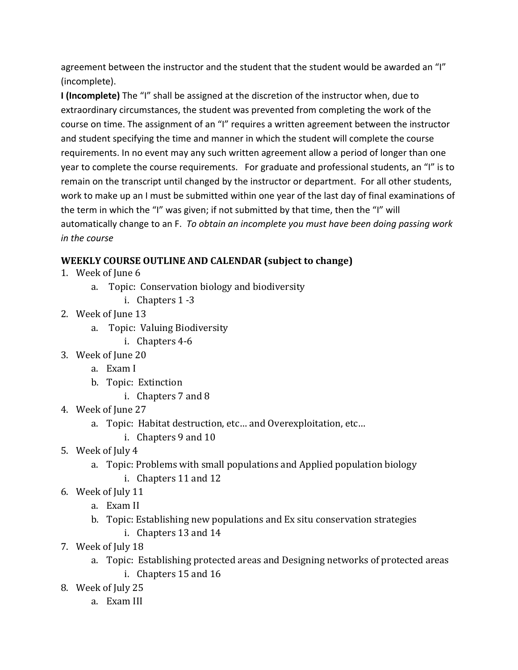agreement between the instructor and the student that the student would be awarded an "I" (incomplete).

**I (Incomplete)** The "I" shall be assigned at the discretion of the instructor when, due to extraordinary circumstances, the student was prevented from completing the work of the course on time. The assignment of an "I" requires a written agreement between the instructor and student specifying the time and manner in which the student will complete the course requirements. In no event may any such written agreement allow a period of longer than one year to complete the course requirements. For graduate and professional students, an "I" is to remain on the transcript until changed by the instructor or department. For all other students, work to make up an I must be submitted within one year of the last day of final examinations of the term in which the "I" was given; if not submitted by that time, then the "I" will automatically change to an F. *To obtain an incomplete you must have been doing passing work in the course*

# **WEEKLY COURSE OUTLINE AND CALENDAR (subject to change)**

- 1. Week of June 6
	- a. Topic: Conservation biology and biodiversity
		- i. Chapters 1 -3
- 2. Week of June 13
	- a. Topic: Valuing Biodiversity
		- i. Chapters 4-6
- 3. Week of June 20
	- a. Exam I
	- b. Topic: Extinction
		- i. Chapters 7 and 8
- 4. Week of June 27
	- a. Topic: Habitat destruction, etc… and Overexploitation, etc…
		- i. Chapters 9 and 10
- 5. Week of July 4
	- a. Topic: Problems with small populations and Applied population biology
		- i. Chapters 11 and 12
- 6. Week of July 11
	- a. Exam II
	- b. Topic: Establishing new populations and Ex situ conservation strategies
		- i. Chapters 13 and 14
- 7. Week of July 18
	- a. Topic: Establishing protected areas and Designing networks of protected areas
		- i. Chapters 15 and 16
- 8. Week of July 25
	- a. Exam III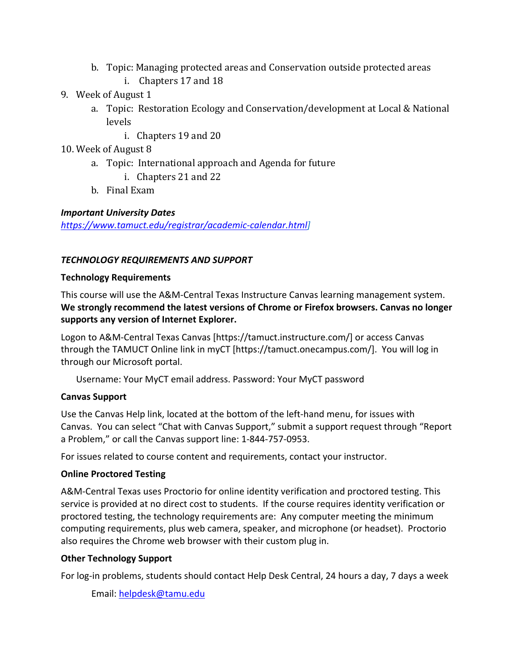- b. Topic: Managing protected areas and Conservation outside protected areas
	- i. Chapters 17 and 18
- 9. Week of August 1
	- a. Topic: Restoration Ecology and Conservation/development at Local & National levels
		- i. Chapters 19 and 20
- 10. Week of August 8
	- a. Topic: International approach and Agenda for future
		- i. Chapters 21 and 22
	- b. Final Exam

# *Important University Dates*

*[https://www.tamuct.edu/registrar/academic-calendar.html\]](https://www.tamuct.edu/registrar/academic-calendar.html)*

# *TECHNOLOGY REQUIREMENTS AND SUPPORT*

## **Technology Requirements**

This course will use the A&M-Central Texas Instructure Canvas learning management system. **We strongly recommend the latest versions of Chrome or Firefox browsers. Canvas no longer supports any version of Internet Explorer.**

Logon to A&M-Central Texas Canvas [https://tamuct.instructure.com/] or access Canvas through the TAMUCT Online link in myCT [https://tamuct.onecampus.com/]. You will log in through our Microsoft portal.

Username: Your MyCT email address. Password: Your MyCT password

# **Canvas Support**

Use the Canvas Help link, located at the bottom of the left-hand menu, for issues with Canvas. You can select "Chat with Canvas Support," submit a support request through "Report a Problem," or call the Canvas support line: 1-844-757-0953.

For issues related to course content and requirements, contact your instructor.

# **Online Proctored Testing**

A&M-Central Texas uses Proctorio for online identity verification and proctored testing. This service is provided at no direct cost to students. If the course requires identity verification or proctored testing, the technology requirements are: Any computer meeting the minimum computing requirements, plus web camera, speaker, and microphone (or headset). Proctorio also requires the Chrome web browser with their custom plug in.

# **Other Technology Support**

For log-in problems, students should contact Help Desk Central, 24 hours a day, 7 days a week

Email: [helpdesk@tamu.edu](mailto:helpdesk@tamu.edu)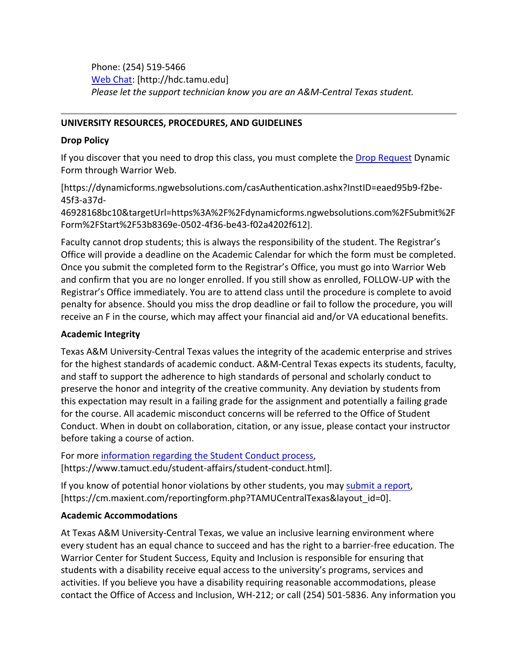Phone: (254) 519-5466 [Web Chat:](http://hdc.tamu.edu/) [http://hdc.tamu.edu] *Please let the support technician know you are an A&M-Central Texas student.*

#### **UNIVERSITY RESOURCES, PROCEDURES, AND GUIDELINES**

#### **Drop Policy**

If you discover that you need to drop this class, you must complete the [Drop Request](https://dynamicforms.ngwebsolutions.com/casAuthentication.ashx?InstID=eaed95b9-f2be-45f3-a37d-46928168bc10&targetUrl=https%3A%2F%2Fdynamicforms.ngwebsolutions.com%2FSubmit%2FForm%2FStart%2F53b8369e-0502-4f36-be43-f02a4202f612) Dynamic Form through Warrior Web.

[https://dynamicforms.ngwebsolutions.com/casAuthentication.ashx?InstID=eaed95b9-f2be-45f3-a37d-

46928168bc10&targetUrl=https%3A%2F%2Fdynamicforms.ngwebsolutions.com%2FSubmit%2F Form%2FStart%2F53b8369e-0502-4f36-be43-f02a4202f612].

Faculty cannot drop students; this is always the responsibility of the student. The Registrar's Office will provide a deadline on the Academic Calendar for which the form must be completed. Once you submit the completed form to the Registrar's Office, you must go into Warrior Web and confirm that you are no longer enrolled. If you still show as enrolled, FOLLOW-UP with the Registrar's Office immediately. You are to attend class until the procedure is complete to avoid penalty for absence. Should you miss the drop deadline or fail to follow the procedure, you will receive an F in the course, which may affect your financial aid and/or VA educational benefits.

### **Academic Integrity**

Texas A&M University-Central Texas values the integrity of the academic enterprise and strives for the highest standards of academic conduct. A&M-Central Texas expects its students, faculty, and staff to support the adherence to high standards of personal and scholarly conduct to preserve the honor and integrity of the creative community. Any deviation by students from this expectation may result in a failing grade for the assignment and potentially a failing grade for the course. All academic misconduct concerns will be referred to the Office of Student Conduct. When in doubt on collaboration, citation, or any issue, please contact your instructor before taking a course of action.

For more [information](https://nam04.safelinks.protection.outlook.com/?url=https%3A%2F%2Fwww.tamuct.edu%2Fstudent-affairs%2Fstudent-conduct.html&data=04%7C01%7Clisa.bunkowski%40tamuct.edu%7Ccfb6e486f24745f53e1a08d910055cb2%7C9eed4e3000f744849ff193ad8005acec%7C0%7C0%7C637558437485252160%7CUnknown%7CTWFpbGZsb3d8eyJWIjoiMC4wLjAwMDAiLCJQIjoiV2luMzIiLCJBTiI6Ik1haWwiLCJXVCI6Mn0%3D%7C1000&sdata=yjftDEVHvLX%2FhM%2FcFU0B99krV1RgEWR%2BJ%2BhvtoR6TYk%3D&reserved=0) regarding the Student Conduct process, [https://www.tamuct.edu/student-affairs/student-conduct.html].

If you know of potential honor violations by other students, you may [submit](https://nam04.safelinks.protection.outlook.com/?url=https%3A%2F%2Fcm.maxient.com%2Freportingform.php%3FTAMUCentralTexas%26layout_id%3D0&data=04%7C01%7Clisa.bunkowski%40tamuct.edu%7Ccfb6e486f24745f53e1a08d910055cb2%7C9eed4e3000f744849ff193ad8005acec%7C0%7C0%7C637558437485262157%7CUnknown%7CTWFpbGZsb3d8eyJWIjoiMC4wLjAwMDAiLCJQIjoiV2luMzIiLCJBTiI6Ik1haWwiLCJXVCI6Mn0%3D%7C1000&sdata=CXGkOa6uPDPX1IMZ87z3aZDq2n91xfHKu4MMS43Ejjk%3D&reserved=0) a report, [https://cm.maxient.com/reportingform.php?TAMUCentralTexas&layout\_id=0].

### **Academic Accommodations**

At Texas A&M University-Central Texas, we value an inclusive learning environment where every student has an equal chance to succeed and has the right to a barrier-free education. The Warrior Center for Student Success, Equity and Inclusion is responsible for ensuring that students with a disability receive equal access to the university's programs, services and activities. If you believe you have a disability requiring reasonable accommodations, please contact the Office of Access and Inclusion, WH-212; or call (254) 501-5836. Any information you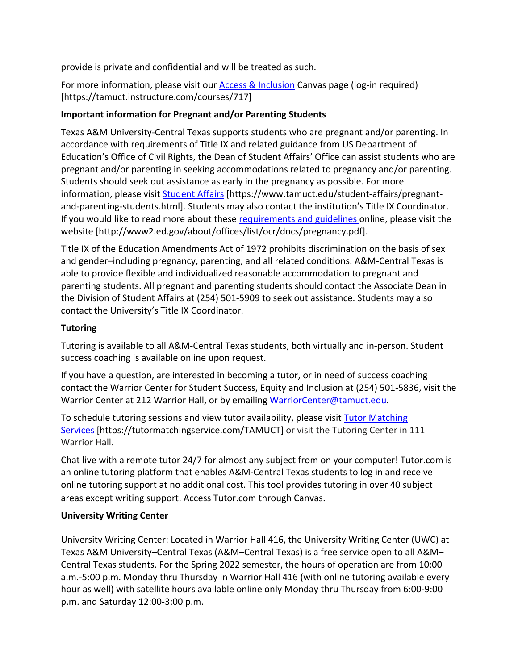provide is private and confidential and will be treated as such.

For more information, please visit our [Access & Inclusion](https://tamuct.instructure.com/courses/717) Canvas page (log-in required) [https://tamuct.instructure.com/courses/717]

## **Important information for Pregnant and/or Parenting Students**

Texas A&M University-Central Texas supports students who are pregnant and/or parenting. In accordance with requirements of Title IX and related guidance from US Department of Education's Office of Civil Rights, the Dean of Student Affairs' Office can assist students who are pregnant and/or parenting in seeking accommodations related to pregnancy and/or parenting. Students should seek out assistance as early in the pregnancy as possible. For more information, please visit [Student Affairs](https://www.tamuct.edu/student-affairs/pregnant-and-parenting-students.html) [https://www.tamuct.edu/student-affairs/pregnantand-parenting-students.html]. Students may also contact the institution's Title IX Coordinator. If you would like to read more about these [requirements and guidelines](http://www2.ed.gov/about/offices/list/ocr/docs/pregnancy.pdf) online, please visit the website [http://www2.ed.gov/about/offices/list/ocr/docs/pregnancy.pdf].

Title IX of the Education Amendments Act of 1972 prohibits discrimination on the basis of sex and gender–including pregnancy, parenting, and all related conditions. A&M-Central Texas is able to provide flexible and individualized reasonable accommodation to pregnant and parenting students. All pregnant and parenting students should contact the Associate Dean in the Division of Student Affairs at (254) 501-5909 to seek out assistance. Students may also contact the University's Title IX Coordinator.

# **Tutoring**

Tutoring is available to all A&M-Central Texas students, both virtually and in-person. Student success coaching is available online upon request.

If you have a question, are interested in becoming a tutor, or in need of success coaching contact the Warrior Center for Student Success, Equity and Inclusion at (254) 501-5836, visit the Warrior Center at 212 Warrior Hall, or by emailing [WarriorCenter@tamuct.edu.](mailto:WarriorCenter@tamuct.edu)

To schedule tutoring sessions and view tutor availability, please visit Tutor [Matching](https://tutormatchingservice.com/TAMUCT) [Services](https://tutormatchingservice.com/TAMUCT) [https://tutormatchingservice.com/TAMUCT] or visit the Tutoring Center in 111 Warrior Hall.

Chat live with a remote tutor 24/7 for almost any subject from on your computer! Tutor.com is an online tutoring platform that enables A&M-Central Texas students to log in and receive online tutoring support at no additional cost. This tool provides tutoring in over 40 subject areas except writing support. Access Tutor.com through Canvas.

### **University Writing Center**

University Writing Center: Located in Warrior Hall 416, the University Writing Center (UWC) at Texas A&M University–Central Texas (A&M–Central Texas) is a free service open to all A&M– Central Texas students. For the Spring 2022 semester, the hours of operation are from 10:00 a.m.-5:00 p.m. Monday thru Thursday in Warrior Hall 416 (with online tutoring available every hour as well) with satellite hours available online only Monday thru Thursday from 6:00-9:00 p.m. and Saturday 12:00-3:00 p.m.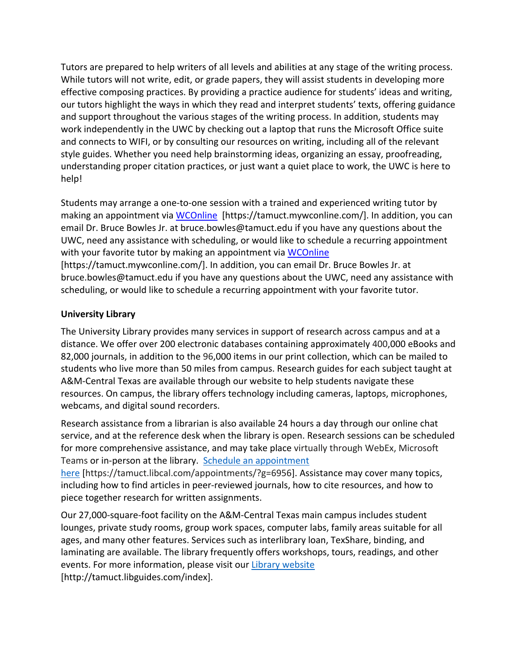Tutors are prepared to help writers of all levels and abilities at any stage of the writing process. While tutors will not write, edit, or grade papers, they will assist students in developing more effective composing practices. By providing a practice audience for students' ideas and writing, our tutors highlight the ways in which they read and interpret students' texts, offering guidance and support throughout the various stages of the writing process. In addition, students may work independently in the UWC by checking out a laptop that runs the Microsoft Office suite and connects to WIFI, or by consulting our resources on writing, including all of the relevant style guides. Whether you need help brainstorming ideas, organizing an essay, proofreading, understanding proper citation practices, or just want a quiet place to work, the UWC is here to help!

Students may arrange a one-to-one session with a trained and experienced writing tutor by making an appointment via [WCOnline](https://tamuct.mywconline.com/) [https://tamuct.mywconline.com/]. In addition, you can email Dr. Bruce Bowles Jr. at bruce.bowles@tamuct.edu if you have any questions about the UWC, need any assistance with scheduling, or would like to schedule a recurring appointment with your favorite tutor by making an appointment via [WCOnline](https://tamuct.mywconline.com/) [https://tamuct.mywconline.com/]. In addition, you can email Dr. Bruce Bowles Jr. at bruce.bowles@tamuct.edu if you have any questions about the UWC, need any assistance with scheduling, or would like to schedule a recurring appointment with your favorite tutor.

### **University Library**

The University Library provides many services in support of research across campus and at a distance. We offer over 200 electronic databases containing approximately 400,000 eBooks and 82,000 journals, in addition to the 96,000 items in our print collection, which can be mailed to students who live more than 50 miles from campus. Research guides for each subject taught at A&M-Central Texas are available through our website to help students navigate these resources. On campus, the library offers technology including cameras, laptops, microphones, webcams, and digital sound recorders.

Research assistance from a librarian is also available 24 hours a day through our online chat service, and at the reference desk when the library is open. Research sessions can be scheduled for more comprehensive assistance, and may take place virtually through WebEx, Microsoft Teams or in-person at the library. Schedule an [appointment](https://nam04.safelinks.protection.outlook.com/?url=https%3A%2F%2Ftamuct.libcal.com%2Fappointments%2F%3Fg%3D6956&data=04%7C01%7Clisa.bunkowski%40tamuct.edu%7Cde2c07d9f5804f09518008d9ab7ba6ff%7C9eed4e3000f744849ff193ad8005acec%7C0%7C0%7C637729369835011558%7CUnknown%7CTWFpbGZsb3d8eyJWIjoiMC4wLjAwMDAiLCJQIjoiV2luMzIiLCJBTiI6Ik1haWwiLCJXVCI6Mn0%3D%7C3000&sdata=KhtjgRSAw9aq%2FoBsB6wyu8b7PSuGN5EGPypzr3Ty2No%3D&reserved=0)

[here](https://nam04.safelinks.protection.outlook.com/?url=https%3A%2F%2Ftamuct.libcal.com%2Fappointments%2F%3Fg%3D6956&data=04%7C01%7Clisa.bunkowski%40tamuct.edu%7Cde2c07d9f5804f09518008d9ab7ba6ff%7C9eed4e3000f744849ff193ad8005acec%7C0%7C0%7C637729369835011558%7CUnknown%7CTWFpbGZsb3d8eyJWIjoiMC4wLjAwMDAiLCJQIjoiV2luMzIiLCJBTiI6Ik1haWwiLCJXVCI6Mn0%3D%7C3000&sdata=KhtjgRSAw9aq%2FoBsB6wyu8b7PSuGN5EGPypzr3Ty2No%3D&reserved=0) [https://tamuct.libcal.com/appointments/?g=6956]. Assistance may cover many topics, including how to find articles in peer-reviewed journals, how to cite resources, and how to piece together research for written assignments.

Our 27,000-square-foot facility on the A&M-Central Texas main campus includes student lounges, private study rooms, group work spaces, computer labs, family areas suitable for all ages, and many other features. Services such as interlibrary loan, TexShare, binding, and laminating are available. The library frequently offers workshops, tours, readings, and other events. For more information, please visit our Library [website](https://nam04.safelinks.protection.outlook.com/?url=https%3A%2F%2Ftamuct.libguides.com%2Findex&data=04%7C01%7Clisa.bunkowski%40tamuct.edu%7C7d8489e8839a4915335f08d916f067f2%7C9eed4e3000f744849ff193ad8005acec%7C0%7C0%7C637566044056484222%7CUnknown%7CTWFpbGZsb3d8eyJWIjoiMC4wLjAwMDAiLCJQIjoiV2luMzIiLCJBTiI6Ik1haWwiLCJXVCI6Mn0%3D%7C1000&sdata=2R755V6rcIyedGrd4Os5rkgn1PvhHKU3kUV1vBKiHFo%3D&reserved=0) [http://tamuct.libguides.com/index].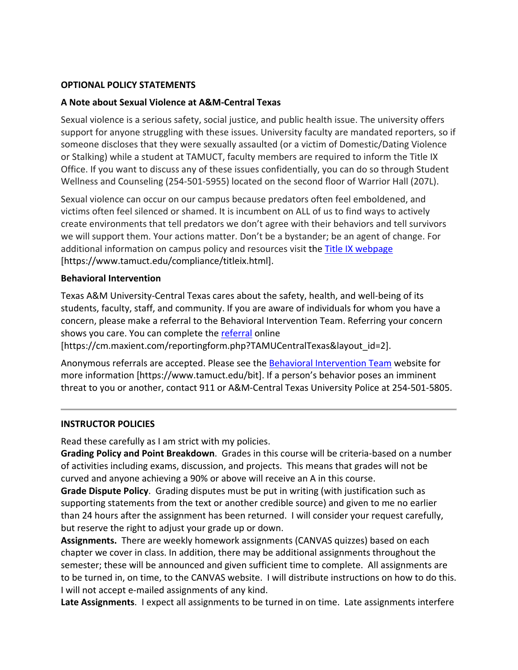#### **OPTIONAL POLICY STATEMENTS**

#### **A Note about Sexual Violence at A&M-Central Texas**

Sexual violence is a serious safety, social justice, and public health issue. The university offers support for anyone struggling with these issues. University faculty are mandated reporters, so if someone discloses that they were sexually assaulted (or a victim of Domestic/Dating Violence or Stalking) while a student at TAMUCT, faculty members are required to inform the Title IX Office. If you want to discuss any of these issues confidentially, you can do so through Student Wellness and Counseling (254-501-5955) located on the second floor of Warrior Hall (207L).

Sexual violence can occur on our campus because predators often feel emboldened, and victims often feel silenced or shamed. It is incumbent on ALL of us to find ways to actively create environments that tell predators we don't agree with their behaviors and tell survivors we will support them. Your actions matter. Don't be a bystander; be an agent of change. For additional information on campus policy and resources visit the **Title IX webpage** [\[https://www.tamuct.edu/compliance/titleix.html\]](https://www.tamuct.edu/compliance/titleix.html).

#### **Behavioral Intervention**

Texas A&M University-Central Texas cares about the safety, health, and well-being of its students, faculty, staff, and community. If you are aware of individuals for whom you have a concern, please make a referral to the Behavioral Intervention Team. Referring your concern shows you care. You can complete the [referral](https://cm.maxient.com/reportingform.php?TAMUCentralTexas&layout_id=2) online

[https://cm.maxient.com/reportingform.php?TAMUCentralTexas&layout\_id=2].

Anonymous referrals are accepted. Please see the [Behavioral Intervention Team](https://www.tamuct.edu/bit) website for more information [https://www.tamuct.edu/bit]. If a person's behavior poses an imminent threat to you or another, contact 911 or A&M-Central Texas University Police at 254-501-5805.

#### **INSTRUCTOR POLICIES**

Read these carefully as I am strict with my policies.

**Grading Policy and Point Breakdown**. Grades in this course will be criteria-based on a number of activities including exams, discussion, and projects. This means that grades will not be curved and anyone achieving a 90% or above will receive an A in this course.

**Grade Dispute Policy**. Grading disputes must be put in writing (with justification such as supporting statements from the text or another credible source) and given to me no earlier than 24 hours after the assignment has been returned. I will consider your request carefully, but reserve the right to adjust your grade up or down.

**Assignments.** There are weekly homework assignments (CANVAS quizzes) based on each chapter we cover in class. In addition, there may be additional assignments throughout the semester; these will be announced and given sufficient time to complete. All assignments are to be turned in, on time, to the CANVAS website. I will distribute instructions on how to do this. I will not accept e-mailed assignments of any kind.

**Late Assignments**. I expect all assignments to be turned in on time. Late assignments interfere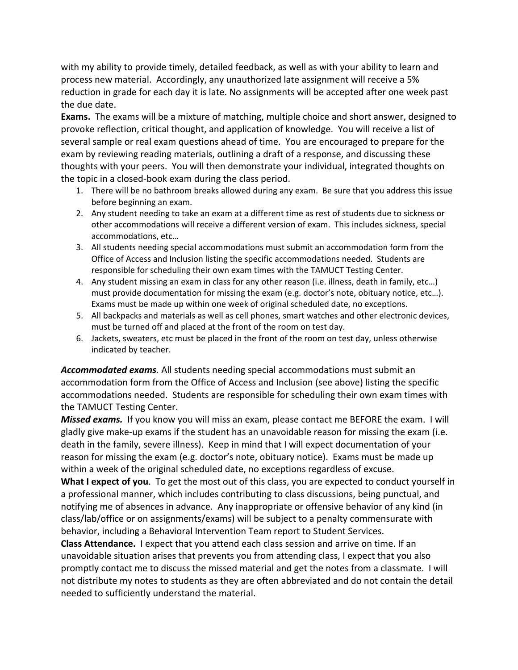with my ability to provide timely, detailed feedback, as well as with your ability to learn and process new material. Accordingly, any unauthorized late assignment will receive a 5% reduction in grade for each day it is late. No assignments will be accepted after one week past the due date.

**Exams.** The exams will be a mixture of matching, multiple choice and short answer, designed to provoke reflection, critical thought, and application of knowledge. You will receive a list of several sample or real exam questions ahead of time. You are encouraged to prepare for the exam by reviewing reading materials, outlining a draft of a response, and discussing these thoughts with your peers. You will then demonstrate your individual, integrated thoughts on the topic in a closed-book exam during the class period.

- 1. There will be no bathroom breaks allowed during any exam. Be sure that you address this issue before beginning an exam.
- 2. Any student needing to take an exam at a different time as rest of students due to sickness or other accommodations will receive a different version of exam. This includes sickness, special accommodations, etc…
- 3. All students needing special accommodations must submit an accommodation form from the Office of Access and Inclusion listing the specific accommodations needed. Students are responsible for scheduling their own exam times with the TAMUCT Testing Center.
- 4. Any student missing an exam in class for any other reason (i.e. illness, death in family, etc…) must provide documentation for missing the exam (e.g. doctor's note, obituary notice, etc…). Exams must be made up within one week of original scheduled date, no exceptions.
- 5. All backpacks and materials as well as cell phones, smart watches and other electronic devices, must be turned off and placed at the front of the room on test day.
- 6. Jackets, sweaters, etc must be placed in the front of the room on test day, unless otherwise indicated by teacher.

*Accommodated exams.* All students needing special accommodations must submit an accommodation form from the Office of Access and Inclusion (see above) listing the specific accommodations needed. Students are responsible for scheduling their own exam times with the TAMUCT Testing Center.

*Missed exams.* If you know you will miss an exam, please contact me BEFORE the exam. I will gladly give make-up exams if the student has an unavoidable reason for missing the exam (i.e. death in the family, severe illness). Keep in mind that I will expect documentation of your reason for missing the exam (e.g. doctor's note, obituary notice). Exams must be made up within a week of the original scheduled date, no exceptions regardless of excuse.

**What I expect of you**. To get the most out of this class, you are expected to conduct yourself in a professional manner, which includes contributing to class discussions, being punctual, and notifying me of absences in advance. Any inappropriate or offensive behavior of any kind (in class/lab/office or on assignments/exams) will be subject to a penalty commensurate with behavior, including a Behavioral Intervention Team report to Student Services.

**Class Attendance.** I expect that you attend each class session and arrive on time. If an unavoidable situation arises that prevents you from attending class, I expect that you also promptly contact me to discuss the missed material and get the notes from a classmate. I will not distribute my notes to students as they are often abbreviated and do not contain the detail needed to sufficiently understand the material.